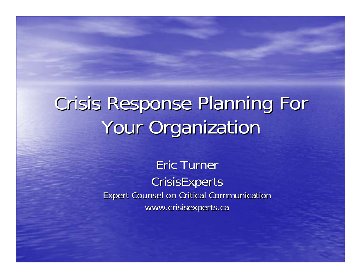# Crisis Response Planning For Crisis Response Planning For Your Organization

Eric Turner **CrisisExperts** Expert Counsel on Critical Communication Expert Counsel on Critical Communication www.crisisexperts.ca www.crisisexperts.ca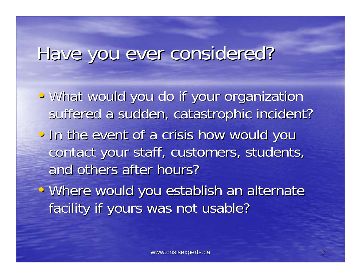## Have you ever considered?

• What would you do if your organization suffered a sudden, catastrophic incident? • In the event of a crisis how would you contact your staff, customers, students,

and others after hours?

• Where would you establish an alternate facility if yours was not usable?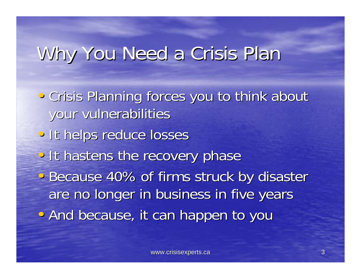## Why You Need a Crisis Plan Why You Need a Crisis Plan

- Crisis Planning forces you to think about your vulnerabilities your vulnerabilities
- It helps reduce losses
- It hastens the recovery phase

• Because 40% of firms struck by disaster are no longer in business in five years • And because, it can happen to you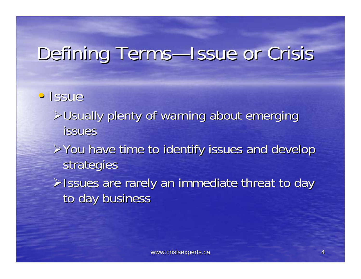## Defining Terms—Issue or Crisis

#### • Issue

 $>$ Usually plenty of warning about emerging issues

¾You have time to identify issues and develop You have time to identify issues and develop strategies

**Eissues are rarely an immediate threat to day** to day business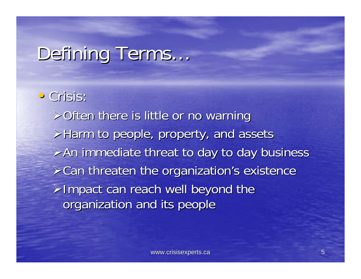# Defining Terms...

• Crisis:  $\geq$ Often there is little or no warning  $\triangleright$  Harm to people, property, and assets  $\triangleright$  An immediate threat to day to day business  $\triangleright$ Can threaten the organization's existence  $\triangleright$ Impact can reach well beyond the organization and its people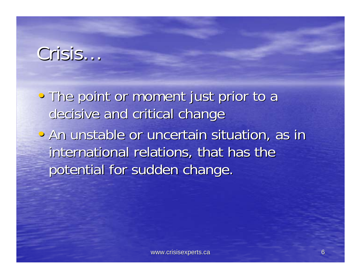#### Crisis…

• The point or moment just prior to a decisive and critical change

• An unstable or uncertain situation, as in international relations, that has the potential for sudden change.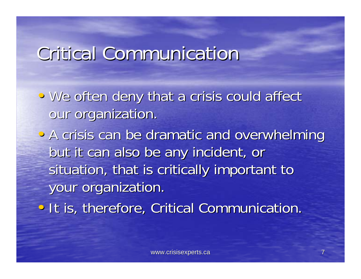#### **Critical Communication**

• We often deny that a crisis could affect our organization.

• A crisis can be dramatic and overwhelming but it can also be any incident, or situation, that is critically important to your organization.

• It is, therefore, Critical Communication.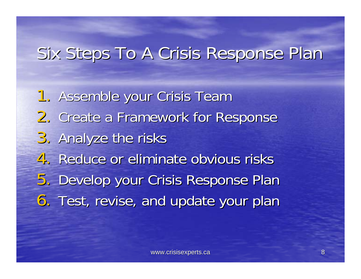#### Six Steps To A Crisis Response Plan

1. Assemble your Crisis Team 2. Create a Framework for Response 3. Analyze the risks 4. Reduce or eliminate obvious risks 5. Develop your Crisis Response Plan 6. Test, revise, and update your plan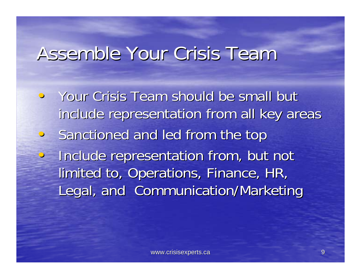## Assemble Your Crisis Team

Your Crisis Team should be small but include representation from all key areas  $\bigcirc$ Sanctioned and led from the top • Include representation from, but not limited to, Operations, Finance, HR, Legal, and Communication/Marketing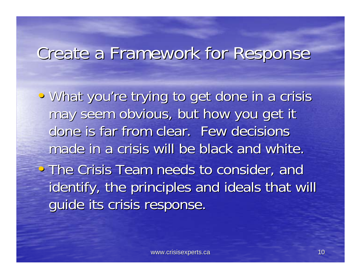#### Create a Framework for Response Create a Framework for Response

• What you're trying to get done in a crisis may seem obvious, but how you get it done is far from clear. Few decisions made in a crisis will be black and white. • The Crisis Team needs to consider, and identify, the principles and ideals that will quide its crisis response.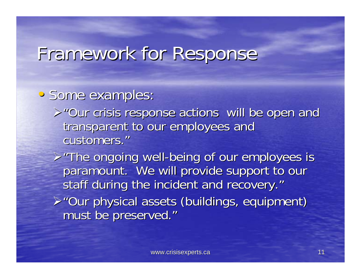#### Framework for Response Framework for Response

#### • Some examples:

 $>$ "Our crisis response actions will be open and transparent to our employees and customers."

 $\triangleright$  "The ongoing well-being of our employees is paramount. We will provide support to our staff during the incident and recovery." ¾"Our physical assets (buildings, equipment) "Our physical assets (buildings, equipment) must be preserved."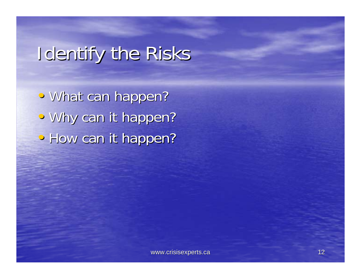## Identify the Risks

• What can happen? • Why can it happen? • How can it happen?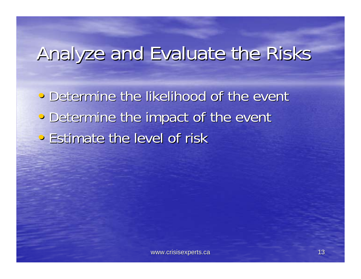## Analyze and Evaluate the Risks

• Determine the likelihood of the event • Determine the impact of the event • Estimate the level of risk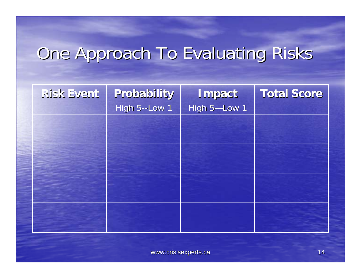## One Approach To Evaluating Risks

| Risk Event | Probability<br>High 5--Low 1 | Impact<br>High 5-Low 1 | <b>Total Score</b> |
|------------|------------------------------|------------------------|--------------------|
|            |                              |                        |                    |
|            |                              |                        |                    |
|            |                              |                        |                    |
|            |                              |                        |                    |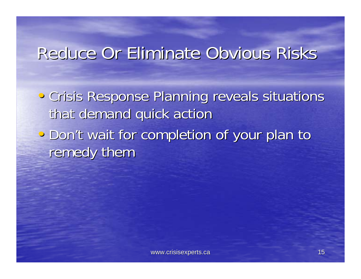#### Reduce Or Eliminate Obvious Risks

- Crisis Response Planning reveals situations that demand quick action
- Don't wait for completion of your plan to remedy them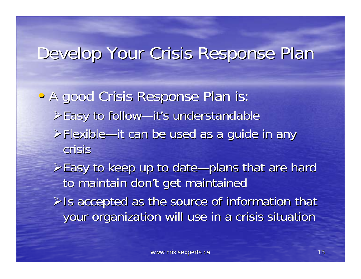#### Develop Your Crisis Response Plan Develop Your Crisis Response Plan

• A good Crisis Response Plan is: Easy to follow-it's understandable  $\triangleright$ Flexible—it can be used as a guide in any crisis

 $\ge$ Easy to keep up to date—plans that are hard to maintain don't get maintained

 $\triangleright$  Is accepted as the source of information that your organization will use in a crisis situation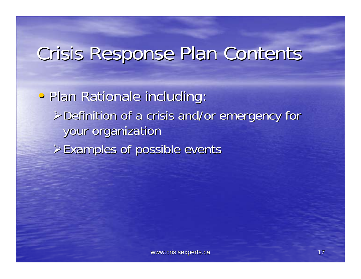## Crisis Response Plan Contents

• Plan Rationale including:  $\triangleright$  Definition of a crisis and/or emergency for your organization  $\triangleright$  Examples of possible events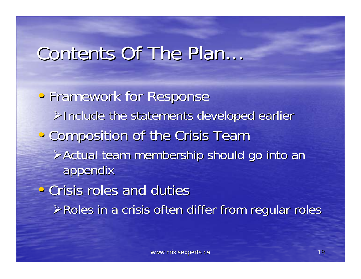#### Contents Of The Plan...

• Framework for Response  $\triangleright$ Include the statements developed earlier • Composition of the Crisis Team ¾Actual team membership should go into an Actual team membership should go into an appendix appendix  $\cdot$  Crisis roles and duties  $\triangleright$  Roles in a crisis often differ from regular roles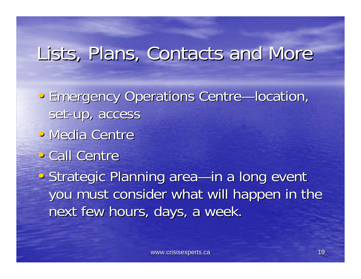## Lists, Plans, Contacts and More

- Emergency Operations Centre—location, set-up, access
- Media Centre
- Call Centre

• Strategic Planning area—in a long event you must consider what will happen in the next few hours, days, a week.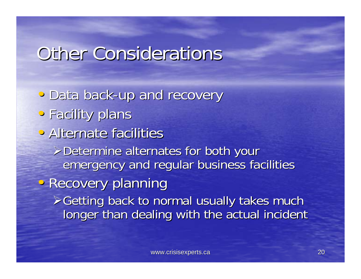## Other Considerations

· Data back-up and recovery • Facility plans • Alternate facilities  $\triangleright$  Determine alternates for both your emergency and regular business facilities • Recovery planning ¾Getting back to normal usually takes much Getting back to normal usually takes much longer than dealing with the actual incident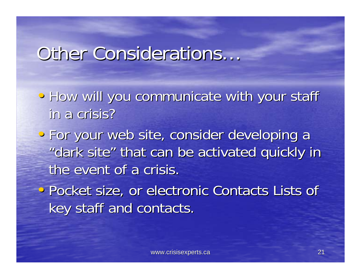#### Other Considerations...

- How will you communicate with your staff in a crisis?
- For your web site, consider developing a "dark site" that can be activated quickly in "dark site" that can be activated quickly in the event of a crisis.
- Pocket size, or electronic Contacts Lists of key staff and contacts.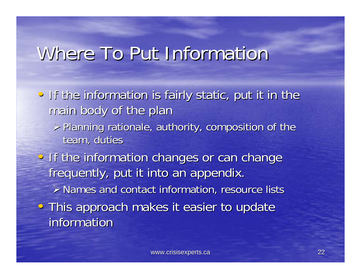## Where To Put Information

- If the information is fairly static, put it in the main body of the plan
	- $\triangleright$  Planning rationale, authority, composition of the team, duties
- If the information changes or can change frequently, put it into an appendix.  $\triangleright$  Names and contact information, resource lists • This approach makes it easier to update information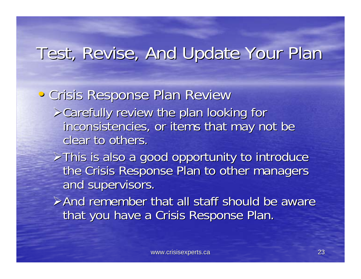#### Test, Revise, And Update Your Plan

• Crisis Response Plan Review  $\triangleright$  Carefully review the plan looking for inconsistencies, or items that may not be clear to others.

 $\triangleright$ This is also a good opportunity to introduce the Crisis Response Plan to other managers and supervisors.

 $\triangleright$  And remember that all staff should be aware that you have a Crisis Response Plan.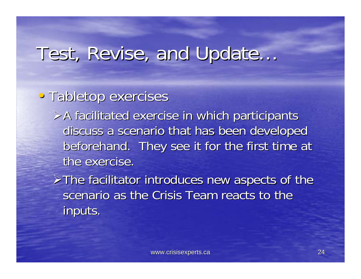#### • Tabletop exercises

 $\triangleright$ A facilitated exercise in which participants discuss a scenario that has been developed beforehand. They see it for the first time at the exercise.

 $\triangleright$ The facilitator introduces new aspects of the scenario as the Crisis Team reacts to the inputs.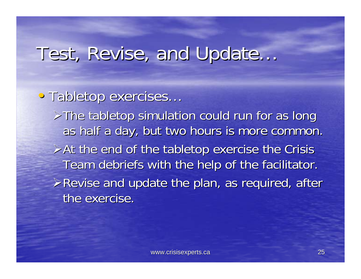#### • Tabletop exercises...

 $\triangleright$ The tabletop simulation could run for as long as half a day, but two hours is more common.  $\triangleright$  At the end of the tabletop exercise the Crisis Team debriefs with the help of the facilitator.  $\triangleright$  Revise and update the plan, as required, after the exercise.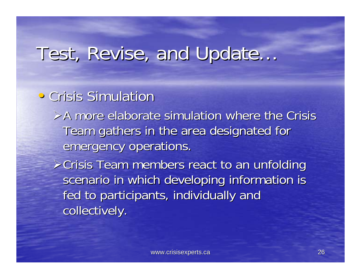#### • Crisis Simulation

 $\triangleright$ A more elaborate simulation where the Crisis Team gathers in the area designated for emergency operations.

 $\triangleright$ Crisis Team members react to an unfolding scenario in which developing information is fed to participants, individually and collectively.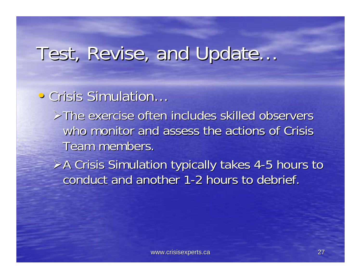## Test, Revise, and Update… Test, Revise, and Update…

#### • Crisis Simulation…

 $\triangleright$ The exercise often includes skilled observers who monitor and assess the actions of Crisis Team members.

 $\geq$  A Crisis Simulation typically takes 4-5 hours to conduct and another 1-2 hours to debrief.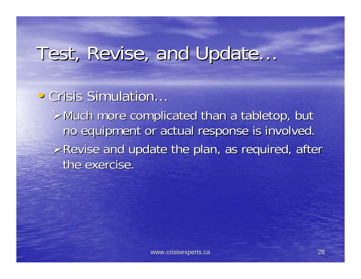• Crisis Simulation…

 $\triangleright$  Much more complicated than a tabletop, but no equipment or actual response is involved.  $\triangleright$  Revise and update the plan, as required, after the exercise.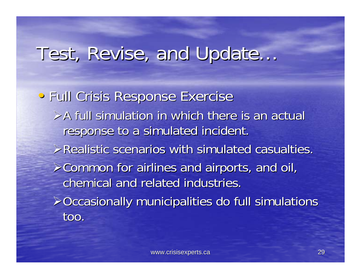• Full Crisis Response Exercise  $\triangleright$  A full simulation in which there is an actual response to a simulated incident.  $\triangleright$ Realistic scenarios with simulated casualties.  $\geq$  Common for airlines and airports, and oil, chemical and related industries.  $\geq$ Occasionally municipalities do full simulations too.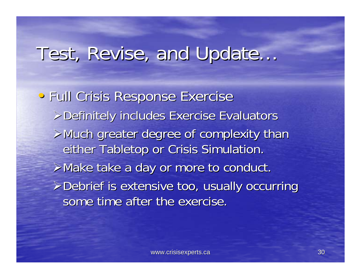• Full Crisis Response Exercise ¾Definitely includes Exercise Evaluators Definitely includes Exercise Evaluators  $\triangleright$  Much greater degree of complexity than either Tabletop or Crisis Simulation.  $\triangleright$  Make take a day or more to conduct.  $\triangleright$  Debrief is extensive too, usually occurring some time after the exercise.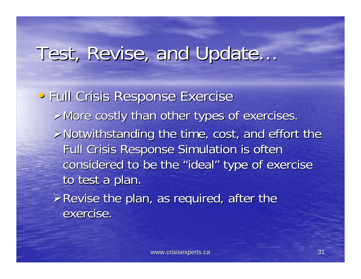• Full Crisis Response Exercise  $\triangleright$  More costly than other types of exercises.  $\triangleright$ Notwithstanding the time, cost, and effort the Full Crisis Response Simulation is often considered to be the "ideal" type of exercise to test a plan.  $\triangleright$  Revise the plan, as required, after the exercise.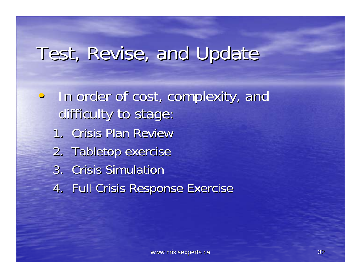• In order of cost, complexity, and difficulty to stage: 1. Crisis Plan Review 2. Tabletop exercise 3. Crisis Simulation 4. Full Crisis Response Exercise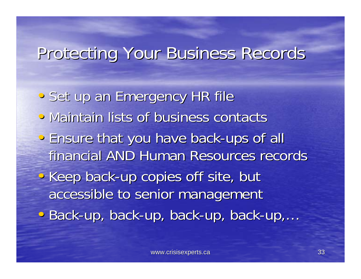#### Protecting Your Business Records Protecting Your Business Records

- Set up an Emergency HR file
- Maintain lists of business contacts
- Ensure that you have back-ups of all financial AND Human Resources records
- Keep back-up copies off site, but accessible to senior management
- Back-up, back-up, back-up, back-up,...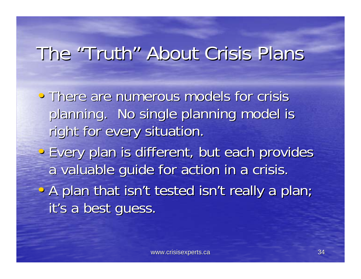## The "Truth" About Crisis Plans

• There are numerous models for crisis planning. No single planning model is right for every situation.

• Every plan is different, but each provides a valuable guide for action in a crisis.

• A plan that isn't tested isn't really a plan; it's a best guess.